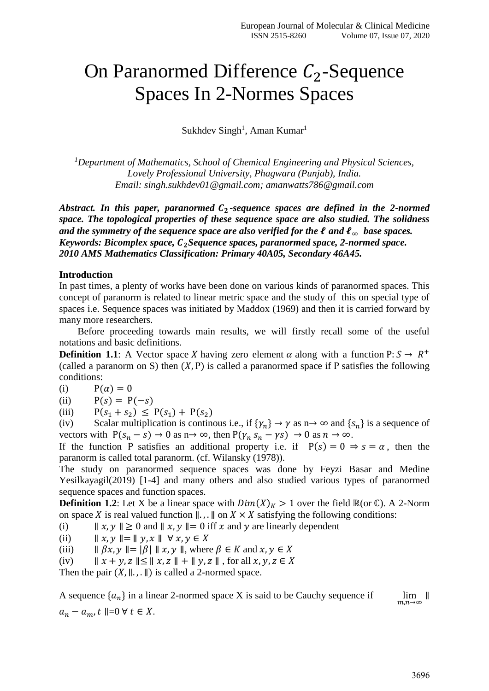## On Paranormed Difference  $C_2$ -Sequence Spaces In 2-Normes Spaces

Sukhdev Singh<sup>1</sup>, Aman Kumar<sup>1</sup>

*<sup>1</sup>Department of Mathematics, School of Chemical Engineering and Physical Sciences, Lovely Professional University, Phagwara (Punjab), India. Email: singh.sukhdev01@gmail.com; amanwatts786@gmail.com*

*Abstract. In this paper, paranormed*  $C_2$ -sequence spaces are defined in the 2-normed *space. The topological properties of these sequence space are also studied. The solidness and the symmetry of the sequence space are also verified for the*  $\ell$  *and*  $\ell_{\infty}$  *base spaces. Keywords: Bicomplex space, Sequence spaces, paranormed space, 2-normed space. 2010 AMS Mathematics Classification: Primary 40A05, Secondary 46A45.*

## **Introduction**

In past times, a plenty of works have been done on various kinds of paranormed spaces. This concept of paranorm is related to linear metric space and the study of this on special type of spaces i.e. Sequence spaces was initiated by Maddox (1969) and then it is carried forward by many more researchers.

Before proceeding towards main results, we will firstly recall some of the useful notations and basic definitions.

**Definition 1.1**: A Vector space X having zero element  $\alpha$  along with a function P:  $S \rightarrow R^+$ (called a paranorm on S) then  $(X, P)$  is called a paranormed space if P satisfies the following conditions:

(i)  $P(\alpha) = 0$ 

(ii)  $P(s) = P(-s)$ 

(iii)  $P(s_1 + s_2) \le P(s_1) + P(s_2)$ 

(iv) Scalar multiplication is continuos i.e., if  $\{\gamma_n\} \to \gamma$  as  $n \to \infty$  and  $\{s_n\}$  is a sequence of vectors with  $P(s_n - s) \to 0$  as  $n \to \infty$ , then  $P(\gamma_n s_n - \gamma s) \to 0$  as  $n \to \infty$ .

If the function P satisfies an additional property i.e. if  $P(s) = 0 \Rightarrow s = \alpha$ , then the paranorm is called total paranorm. (cf. Wilansky (1978)).

The study on paranormed sequence spaces was done by Feyzi Basar and Medine Yesilkayagil(2019) [1-4] and many others and also studied various types of paranormed sequence spaces and function spaces.

**Definition 1.2**: Let X be a linear space with  $Dim(X)<sub>K</sub> > 1$  over the field ℝ(or ℂ). A 2-Norm on space *X* is real valued function  $\parallel$ . ,  $\parallel$  on  $X \times X$  satisfying the following conditions:

(i)  $||x, y|| \ge 0$  and  $||x, y|| = 0$  iff x and y are linearly dependent

(ii)  $|| x, y || = || y, x || \forall x, y \in X$ 

(iii)  $\|\beta x, y\| = |\beta| \| x, y \|$ , where  $\beta \in K$  and  $x, y \in X$ 

(iv)  $|| x + y, z || \le || x, z || + || y, z ||$ , for all  $x, y, z \in X$ 

Then the pair  $(X, ||, \cdot, ||)$  is called a 2-normed space.

A sequence  ${a_n}$  in a linear 2-normed space X is said to be Cauchy sequence if  $\lim_{m,n\to\infty}$ ∥  $a_n - a_m$ ,  $t \parallel = 0 \forall t \in X$ .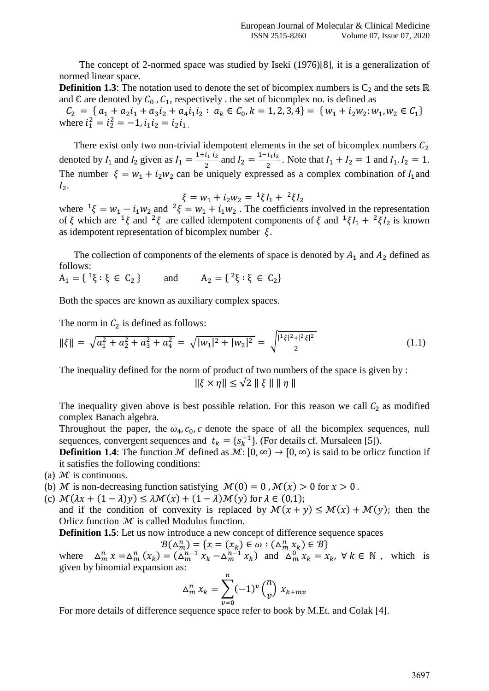The concept of 2-normed space was studied by Iseki (1976)[8], it is a generalization of normed linear space.

**Definition 1.3**: The notation used to denote the set of bicomplex numbers is  $C_2$  and the sets  $\mathbb{R}$ and  $\mathbb C$  are denoted by  $C_0$ ,  $C_1$ , respectively. the set of bicomplex no. is defined as

 $C_2 = \{ a_1 + a_2 i_1 + a_3 i_2 + a_4 i_1 i_2 : a_k \in C_0, k = 1, 2, 3, 4 \} = \{ w_1 + i_2 w_2 : w_1, w_2 \in C_1 \}$ where  $i_1^2 = i_2^2 = -1$ ,  $i_1 i_2 = i_2 i_1$ .

There exist only two non-trivial idempotent elements in the set of bicomplex numbers  $C_2$ denoted by  $I_1$  and  $I_2$  given as  $I_1 = \frac{1+i_1 i_2}{2}$  $\frac{i_1 i_2}{2}$  and  $I_2 = \frac{1 - i_1 i_2}{2}$  $\frac{l_1 l_2}{2}$ . Note that  $I_1 + I_2 = 1$  and  $I_1 I_2 = 1$ . The number  $\xi = w_1 + i_2w_2$  can be uniquely expressed as a complex combination of  $I_1$  and  $I_2$ .

$$
\xi = w_1 + i_2 w_2 = \sqrt[12]{l_1 + \sqrt[2]{l_2}}
$$

where  $1\xi = w_1 - i_1w_2$  and  $2\xi = w_1 + i_1w_2$ . The coefficients involved in the representation of  $\xi$  which are  $\frac{1}{\xi}$  and  $\frac{2}{\xi}$  are called idempotent components of  $\xi$  and  $\frac{1}{\xi}I_1 + \frac{2}{\xi}I_2$  is known as idempotent representation of bicomplex number  $\xi$ .

The collection of components of the elements of space is denoted by  $A_1$  and  $A_2$  defined as follows:

 $A_1 = \{ \begin{array}{l} 1\xi : \xi \in C_2 \end{array}$ } and  $A_2 = \{^2ξ : ξ ∈ C_2\}$ 

Both the spaces are known as auxiliary complex spaces.

The norm in  $C_2$  is defined as follows:

$$
\|\xi\| = \sqrt{a_1^2 + a_2^2 + a_3^2 + a_4^2} = \sqrt{|w_1|^2 + |w_2|^2} = \sqrt{\frac{|{\bf 1}\xi|^2 + |{\bf 2}\xi|^2}{2}} \tag{1.1}
$$

The inequality defined for the norm of product of two numbers of the space is given by :  $\|\xi \times \eta\| \leq \sqrt{2} \|\xi\| \|\eta\|$ 

The inequality given above is best possible relation. For this reason we call  $C_2$  as modified complex Banach algebra.

Throughout the paper, the  $\omega_4$ ,  $c_0$ ,  $c$  denote the space of all the bicomplex sequences, null sequences, convergent sequences and  $t_k = \{s_k^{-1}\}\)$ . (For details cf. Mursaleen [5]).

**Definition 1.4**: The function M defined as  $M: [0, \infty) \to [0, \infty)$  is said to be orlicz function if it satisfies the following conditions:

- (a)  $M$  is continuous.
- (b) *M* is non-decreasing function satisfying  $M(0) = 0$ ,  $M(x) > 0$  for  $x > 0$ .
- (c)  $\mathcal{M}(\lambda x + (1 \lambda)y) \le \lambda \mathcal{M}(x) + (1 \lambda)\mathcal{M}(y)$  for  $\lambda \in (0,1)$ ;

and if the condition of convexity is replaced by  $\mathcal{M}(x + y) \leq \mathcal{M}(x) + \mathcal{M}(y)$ ; then the Orlicz function  $M$  is called Modulus function.

**Definition 1.5**: Let us now introduce a new concept of difference sequence spaces

 $\mathcal{B}(\Delta_m^n) = \{x = (x_k) \in \omega : (\Delta_m^n x_k) \in \mathcal{B}\}\$ 

where  $\sum_{m=1}^{n} x = \Delta_m^n (x_k) = (\Delta_m^{n-1} x_k - \Delta_m^{n-1} x_k)$  and  $\Delta_m^0 x_k = x_k$ ,  $\forall k \in \mathbb{N}$ , which is given by binomial expansion as:

$$
\Delta_m^n x_k = \sum_{\nu=0}^n (-1)^{\nu} \binom{n}{\nu} x_{k+mv}
$$

For more details of difference sequence space refer to book by M.Et. and Colak [4].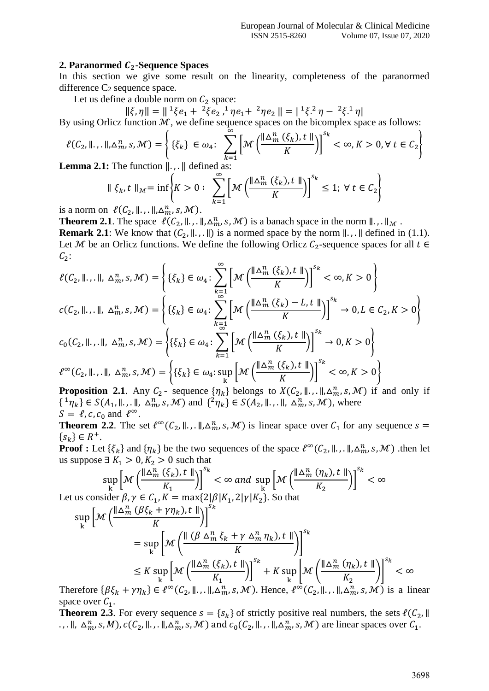## **2. Paranormed C<sub>2</sub>-Sequence Spaces**

In this section we give some result on the linearity, completeness of the paranormed difference  $C_2$  sequence space.

Let us define a double norm on  $C_2$  space:

 $\|\xi,\eta\| = \|\, {}^1\xi e_1 + \, {}^2\xi e_2, {}^1\eta e_1 + \, {}^2\eta e_2\| = | \, {}^1\xi. {}^2\eta - \, {}^2\xi. {}^1\eta\|$ 

By using Orlicz function  $M$ , we define sequence spaces on the bicomplex space as follows:

$$
\ell(C_2, \|\ldots\|, \Delta_m^n, s, \mathcal{M}) = \left\{ \{\xi_k\} \in \omega_4 \colon \sum_{k=1}^{\infty} \left[ \mathcal{M}\left(\frac{\|\Delta_m^n(\xi_k), t\|}{K}\right) \right]^{s_k} < \infty, K > 0, \forall t \in C_2 \right\}
$$
\nterms 2.1: The function  $\|\cdot\|$  defined as:

**Lemma 2.1:** The function  $\Vert \cdot$ , .  $\Vert$  defined as:

$$
\|\xi_k, t\|_{\mathcal{M}} = \inf \left\{ K > 0: \sum_{k=1}^{\infty} \left[ \mathcal{M}\left(\frac{\|\Delta_m^n(\xi_k), t\|}{K}\right) \right]^{s_k} \le 1; \forall t \in C_2 \right\}
$$

is a norm on  $\ell(C_2, \|\ldots\|\Delta_m^n, s, \mathcal{M})$ .

**Theorem 2.1**. The space  $\ell(C_2, \|\cdot\|, \ldots \|\cdot \Delta_m^n, s, \mathcal{M})$  is a banach space in the norm  $\|\cdot\|, \ldots \|\mathcal{M}$ .

**Remark 2.1**: We know that  $(C_2, \|\.\,,\.\|)$  is a normed space by the norm  $\|\.\,,\.\|$  defined in (1.1). Let M be an Orlicz functions. We define the following Orlicz  $C_2$ -sequence spaces for all  $t \in$  $C_2$ :

$$
\ell(C_2, \|, \|, \Delta_m^n, s, \mathcal{M}) = \left\{ \{ \xi_k \} \in \omega_4 : \sum_{k=1}^{\infty} \left[ \mathcal{M} \left( \frac{\|\Delta_m^n(\xi_k), t\|}{K} \right) \right]^{s_k} < \infty, K > 0 \right\}
$$
\n
$$
c(C_2, \|, \|, \Delta_m^n, s, \mathcal{M}) = \left\{ \{ \xi_k \} \in \omega_4 : \sum_{k=1}^{\infty} \left[ \mathcal{M} \left( \frac{\|\Delta_m^n(\xi_k) - L, t\|}{K} \right) \right]^{s_k} \to 0, L \in C_2, K > 0 \right\}
$$
\n
$$
c_0(C_2, \|, \|, \Delta_m^n, s, \mathcal{M}) = \left\{ \{ \xi_k \} \in \omega_4 : \sum_{k=1}^{\infty} \left[ \mathcal{M} \left( \frac{\|\Delta_m^n(\xi_k), t\|}{K} \right) \right]^{s_k} \to 0, K > 0 \right\}
$$
\n
$$
\ell^{\infty}(C_2, \|, \|, \Delta_m^n, s, \mathcal{M}) = \left\{ \{ \xi_k \} \in \omega_4 : \sup_k \left[ \mathcal{M} \left( \frac{\|\Delta_m^n(\xi_k), t\|}{K} \right) \right]^{s_k} < \infty, K > 0 \right\}
$$

**Proposition 2.1**. Any  $C_2$ - sequence  $\{\eta_k\}$  belongs to  $X(C_2, \| \cdot, \|, \Delta_m^n, s, \mathcal{M})$  if and only if  $\{ {}^1\eta_k \} \in S(A_1, \mathbb{I}, \mathbb{I}, \Delta^n_m, s, \mathcal{M})$  and  $\{ {}^2\eta_k \} \in S(A_2, \mathbb{I}, \mathbb{I}, \Delta^n_m, s, \mathcal{M})$ , where  $S = \ell, c, c_0 \text{ and } \ell^{\infty}.$ 

**Theorem 2.2**. The set  $\ell^{\infty}(C_2, \|\cdot\|, \Delta_m^n, s, \mathcal{M})$  is linear space over  $C_1$  for any sequence  $s =$  $\{s_k\} \in R^+$ .

**Proof :** Let  $\{\xi_k\}$  and  $\{\eta_k\}$  be the two sequences of the space  $\ell^{\infty}(\mathcal{C}_2, \|\ldots\|, \Delta_m^n, s, \mathcal{M})$  .then let us suppose ∃  $K_1 > 0, K_2 > 0$  such that

$$
\sup_{k} \left[ \mathcal{M} \left( \frac{\|\Delta_m^n(\xi_k), t\|}{K_1} \right) \right]^{s_k} < \infty \text{ and } \sup_{k} \left[ \mathcal{M} \left( \frac{\|\Delta_m^n(\eta_k), t\|}{K_2} \right) \right]^{s_k} < \infty
$$
  
Let us consider  $\beta, \gamma \in C_1, K = \max\{2|\beta|K_1, 2|\gamma|K_2\}$ . So that

$$
\sup_{k} \left[ \mathcal{M} \left( \frac{\|\Delta_{m}^{n} (\beta \xi_{k} + \gamma \eta_{k}), t \|}{K} \right) \right]^{s_{k}}
$$
\n
$$
= \sup_{k} \left[ \mathcal{M} \left( \frac{\| (\beta \Delta_{m}^{n} \xi_{k} + \gamma \Delta_{m}^{n} \eta_{k}), t \|}{K} \right) \right]^{s_{k}}
$$
\n
$$
\leq K \sup_{k} \left[ \mathcal{M} \left( \frac{\|\Delta_{m}^{n} (\xi_{k}), t \|}{K_{1}} \right) \right]^{s_{k}} + K \sup_{k} \left[ \mathcal{M} \left( \frac{\|\Delta_{m}^{n} (\eta_{k}), t \|}{K_{2}} \right) \right]^{s_{k}} < \infty
$$
\n
$$
\text{where } \{\beta \in \mathbb{R} \text{ is a line of } \mathbb{R} \text{ and } \{\beta \in \mathbb{R}^{m} \text{ such that } \{\beta \in \mathbb{R}^{m} \text{ is a line of } \mathbb{R} \text{ such that } \{\beta \in \mathbb{R}^{m} \text{ such that } \{\beta \in \mathbb{R}^{m} \text{ such that } \{\beta \in \mathbb{R}^{m} \text{ such that } \{\beta \in \mathbb{R}^{m} \text{ such that } \{\beta \in \mathbb{R}^{m} \text{ such that } \{\beta \in \mathbb{R}^{m} \text{ such that } \{\beta \in \mathbb{R}^{m} \text{ such that } \{\beta \in \mathbb{R}^{m} \text{ such that } \{\beta \in \mathbb{R}^{m} \text{ such that } \{\beta \in \mathbb{R}^{m} \text{ such that } \{\beta \in \mathbb{R}^{m} \text{ such that } \{\beta \in \mathbb{R}^{m} \text{ such that } \{\beta \in \mathbb{R}^{m} \text{ such that } \{\beta \in \mathbb{R}^{m} \text{ such that } \{\beta \in \mathbb{R}^{m} \text{ such that } \{\beta \in \mathbb{R}^{m} \text{ such that } \{\beta \in \mathbb{R}^{m} \text{ such that } \{\beta \in \mathbb{R}^{m} \text{ such that } \{\beta \in \mathbb{R}^{m} \text{ such that } \{\beta \in \mathbb{R}^{m} \text{ such that } \{\beta \in
$$

Therefore  $\{\beta \xi_k + \gamma \eta_k\} \in \ell^{\infty}(C_2, \mathbb{I}, \mathbb{I}, \Delta_m^n, s, \mathcal{M})$ . Hence,  $\ell^{\infty}(C_2, \mathbb{I}, \mathbb{I}, \Delta_m^n, s, \mathcal{M})$  is a linear space over  $C_1$ .

**Theorem 2.3**. For every sequence  $s = \{s_k\}$  of strictly positive real numbers, the sets  $\ell(\mathcal{C}_2, \mathcal{V})$ ., .  $\parallel$ ,  $\Delta_m^n$ , s, M),  $c(C_2, \parallel \ldots \parallel, \Delta_m^n, s, \mathcal{M})$  and  $c_0(C_2, \parallel \ldots \parallel, \Delta_m^n, s, \mathcal{M})$  are linear spaces over  $C_1$ .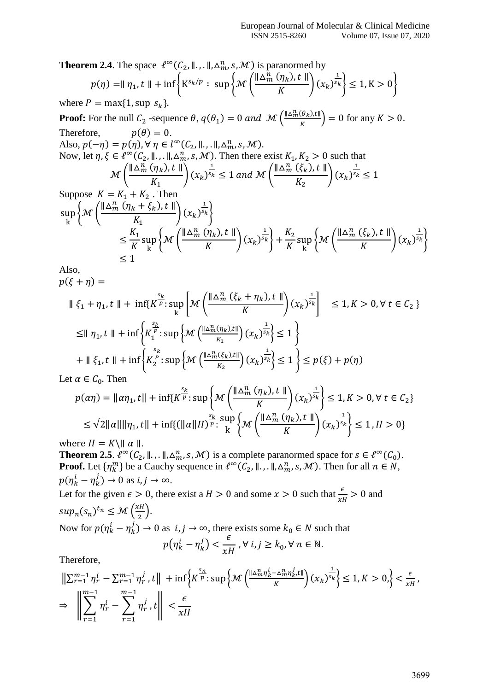**Theorem 2.4**. The space  $\ell^{\infty}(C_2, \mathbb{I}, \ldots, \mathbb{I}, \Delta_m^n, s, \mathcal{M})$  is paranormed by

$$
p(\eta) = || \eta_1, t || + \inf \left\{ K^{s_k/p} : \sup \left\{ \mathcal{M} \left( \frac{|| \Delta_m^n (\eta_k), t ||}{K} \right) (x_k)^{\frac{1}{s_k}} \right\} \le 1, K > 0 \right\}
$$

where  $P = \max\{1, \sup s_k\}.$ 

**Proof:** For the null  $C_2$  -sequence  $\theta$ ,  $q(\theta_1) = 0$  and  $\mathcal{M} \left( \frac{\|\Delta_m^n(\theta_k), t\|}{\kappa} \right)$  $\left(\frac{\partial R}{\partial t}\right)$  = 0 for any  $K > 0$ . Therefore,  $p(\theta) = 0$ . Also,  $p(-\eta) = p(\eta)$ ,  $\forall \eta \in l^{\infty}(C_2, \mathbb{I}, \mathbb{I}, \Delta^n_m, s, \mathcal{M})$ . Now, let  $\eta, \xi \in \ell^{\infty}(C_2, \mathbb{I}, \mathbb{I}, \Delta_m^n, s, \mathcal{M})$ . Then there exist  $K_1, K_2 > 0$  such that  $\mathcal{M}\left(\frac{\mathbb{I}\Delta_{m}^{n}\left(\eta_{k}\right),t\parallel}{V}\right)$  $K_1$  $(x_k)$ 1  $\frac{1}{s_k} \leq 1$  and  $\mathcal{M} \left( \frac{\|\Delta_m^n(\xi_k), t\|}{V}\right)$  $K<sub>2</sub>$  $(x_k)$ 1  $s_k \leq 1$ Suppose  $K = K_1 + K_2$ . Then  $\|\Delta_m^n(\eta_k+\xi_k),t\|$  $1)$ 

$$
\sup_{k} \left\{ \mathcal{M} \left( \frac{\|\Delta_{m}(\eta_{k} + \zeta_{k}), t\|}{K_{1}} \right) (x_{k})^{\overline{s_{k}}} \right\}
$$
\n
$$
\leq \frac{K_{1}}{K} \sup_{k} \left\{ \mathcal{M} \left( \frac{\|\Delta_{m}^{n}(\eta_{k}), t\|}{K} \right) (x_{k})^{\frac{1}{s_{k}}} \right\} + \frac{K_{2}}{K} \sup_{k} \left\{ \mathcal{M} \left( \frac{\|\Delta_{m}^{n}(\xi_{k}), t\|}{K} \right) (x_{k})^{\frac{1}{s_{k}}} \right\}
$$
\n
$$
\leq 1
$$

Also,

 $p(\xi + \eta) =$  $\|\xi_1 + \eta_1, t\| + \inf\{K\}$  $s_{\boldsymbol{k}}$  $\frac{p}{p}$ : sup k  $\left[\mathcal{M}\left(\frac{\|\Delta_m^n(\xi_k+\eta_k),t\|}{K}\right)\right]$  $\frac{1}{K}$   $(x_k)$ 1  $\left\{ S_{k} \right\} \leq 1, K > 0, \forall t \in C_{2}$  $\leq$ ||  $\eta_1$ , t || + inf $\left\{K_1^1\right\}$  $\frac{s_k}{P}$ : sup  $\left\{ \mathcal{M}\left(\frac{\|\Delta_m^n(\eta_k),t\|}{V}\right)\right\}$  $\frac{(y_k,\mu)}{K_1}$   $(x_k)$ 1  $s_k \leq 1$  $+ \parallel \xi_1, t \parallel + \inf \left\{ K_2^T \right\}$  $\frac{s_k}{P}$ : sup  $\big\{\mathcal{M}\left(\frac{\|\Delta_m^n(\xi_k),t\|}{P}\right)$  $\frac{(\varsigma_k,\varsigma_k)}{K_2}$   $(x_k)$ 1  ${s_k} \leq 1 {\leq p(\xi) + p(\eta)}$ 

Let  $\alpha \in C_0$ . Then

$$
p(\alpha \eta) = ||\alpha \eta_1, t|| + \inf \{ K^{\frac{s_k}{p}} : \sup \left\{ \mathcal{M} \left( \frac{||\Delta_m^n (\eta_k), t||}{K} \right) (x_k)^{\frac{1}{s_k}} \right\} \le 1, K > 0, \forall t \in C_2 \}
$$
  
\n
$$
\le \sqrt{2} ||\alpha|| ||\eta_1, t|| + \inf \{ (||\alpha||H)^{\frac{s_k}{p}} : \sup_k \left\{ \mathcal{M} \left( \frac{||\Delta_m^n (\eta_k), t||}{K} \right) (x_k)^{\frac{1}{s_k}} \right\} \le 1, H > 0 \}
$$

where  $H = K \setminus || \alpha ||$ .

**Theorem 2.5**.  $\ell^{\infty}(C_2, \mathcal{L}, \mathcal{L}_m, s, \mathcal{M})$  is a complete paranormed space for  $s \in \ell^{\infty}(C_0)$ . **Proof.** Let  $\{\eta_k^m\}$  be a Cauchy sequence in  $\ell^{\infty}(\mathcal{C}_2, \|\cdot\|, \ldots \|\cdot \Delta_m^n, s, \mathcal{M})$ . Then for all  $n \in \mathbb{N}$ ,  $p(\eta_k^i - \eta_k^j) \to 0$  as  $i, j \to \infty$ . Let for the given  $\epsilon > 0$ , there exist a  $H > 0$  and some  $x > 0$  such that  $\frac{\epsilon}{xH} > 0$  and

$$
sup_n(s_n)^{t_n} \le \mathcal{M}\left(\frac{xH}{2}\right).
$$
  
Now for  $p(\eta_k^i - \eta_k^j) \to 0$  as  $i, j \to \infty$ , there exists some  $k_0 \in N$  such that  
 $p(\eta_k^i - \eta_k^j) < \frac{\epsilon}{xH}$ ,  $\forall i, j \ge k_0, \forall n \in \mathbb{N}$ .

Therefore,

$$
\begin{aligned}\n\left\| \sum_{r=1}^{m-1} \eta_r^i - \sum_{r=1}^{m-1} \eta_r^j, t \right\| &+ \inf \left\{ K^{\frac{s_n}{p}} \cdot \sup \left\{ \mathcal{M} \left( \frac{\|\Delta_m^n \eta_k^i - \Delta_m^n \eta_{k'}^j t\|}{K} \right) (x_k)^{\frac{1}{s_k}} \right\} \le 1, K > 0, \right\} < \frac{\epsilon}{xH}, \\
\Rightarrow \left\| \sum_{r=1}^{m-1} \eta_r^i - \sum_{r=1}^{m-1} \eta_r^j, t \right\| < \frac{\epsilon}{xH}\n\end{aligned}
$$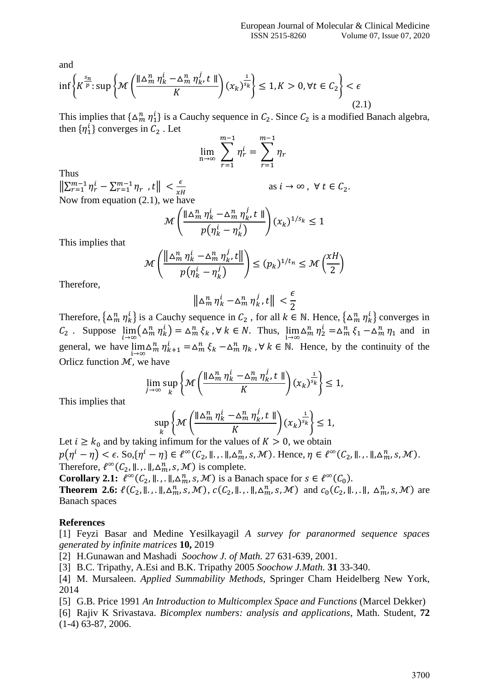and

$$
\inf \left\{ K^{\frac{s_n}{p}} : \sup \left\{ \mathcal{M} \left( \frac{\|\Delta_m^n \eta_k^i - \Delta_m^n \eta_{k'}^j t\|}{K} \right) (x_k)^{\frac{1}{s_k}} \right\} \le 1, K > 0, \forall t \in C_2 \right\} < \epsilon
$$
\n
$$
(2.1)
$$

This implies that  $\{\Delta_m^n \eta_1^i\}$  is a Cauchy sequence in  $C_2$ . Since  $C_2$  is a modified Banach algebra, then  $\{\eta_1^i\}$  converges in  $C_2$ . Let

$$
\lim_{n\to\infty}\sum_{r=1}^{m-1}\eta_r^i=\sum_{r=1}^{m-1}\eta_r
$$

Thus

 $\left\| \sum_{r=1}^{m-1} \eta_r^i - \sum_{r=1}^{m-1} \eta_r \right\| < \frac{\epsilon}{r}$  $xH$ as  $i \to \infty$ ,  $\forall t \in C_2$ . Now from equation (2.1), we have

$$
\mathcal{M}\left(\frac{\|\Delta_m^n \eta_k^i - \Delta_m^n \eta_k^j, t\|}{p(\eta_k^i - \eta_k^j)}\right) (x_k)^{1/s_k} \le 1
$$

This implies that

$$
\mathcal{M}\left(\frac{\left\|\Delta_{m}^{n}\eta_{k}^{i}-\Delta_{m}^{n}\eta_{k}^{j},t\right\|}{p(\eta_{k}^{i}-\eta_{k}^{j})}\right)\leq (p_{k})^{1/t_{n}}\leq \mathcal{M}\left(\frac{\chi H}{2}\right)
$$

Therefore,

$$
\left\|\Delta_m^n\,\eta_k^i-\Delta_m^n\,\eta_k^j\,,t\right\|\,<\frac{\epsilon}{2}
$$

Therefore,  $\{\Delta_m^n \eta_k^i\}$  is a Cauchy sequence in  $C_2$ , for all  $k \in \mathbb{N}$ . Hence,  $\{\Delta_m^n \eta_k^i\}$  converges in  $C_2$ . Suppose  $\lim_{i \to \infty} (\Delta_m^n \eta_k^i) = \Delta_m^n \xi_k$ ,  $\forall k \in \mathbb{N}$ . Thus,  $\lim_{i \to \infty} \Delta_m^n \eta_2^i = \Delta_m^n \xi_1 - \Delta_m^n \eta_1$  and in general, we have  $\lim_{i\to\infty} \Delta_m^n \eta_{k+1}^i = \Delta_m^n \xi_k - \Delta_m^n \eta_k$ ,  $\forall k \in \mathbb{N}$ . Hence, by the continuity of the Orlicz function  $M$ , we have

$$
\lim_{j\to\infty}\sup_{k}\left\{\mathcal{M}\left(\frac{\|\Delta_m^n\,\eta_k^i-\Delta_m^n\,\eta_{k'}^j\,t\,\|}{K}\right)(x_k)^{\frac{1}{s_k}}\right\}\leq 1,
$$

This implies that

$$
\sup_{k} \left\{ \mathcal{M} \left( \frac{\|\Delta_m^n \eta_k^i - \Delta_m^n \eta_k^j, t\|}{K} \right) (x_k)^{\frac{1}{s_k}} \right\} \le 1,
$$

Let  $i \geq k_0$  and by taking infimum for the values of  $K > 0$ , we obtain  $p(\eta^i-\eta)<\epsilon$ . So, $\{\eta^i-\eta\}\in \ell^\infty(\mathcal{C}_2,\mathbb{I}_\cdot$ , .  $\mathbb{I}_\cdot$ ,  $\Delta^n_m$ , s,  $\mathcal{M}$ ). Hence,  $\eta\in \ell^\infty(\mathcal{C}_2,\mathbb{I}_\cdot$ , .  $\mathbb{I}_\cdot$ ,  $\Delta^n_m$ , s,  $\mathcal{M}$ ). Therefore,  $\ell^{\infty}(C_2, \parallel \ldots \parallel, \Delta^n_m, s, \mathcal{M})$  is complete.

**Corollary 2.1:**  $\ell^{\infty}(C_2, \mathbb{I}, \mathbb{I}, \mathbb{I}, \Delta_m^n, s, \mathcal{M})$  is a Banach space for  $s \in \ell^{\infty}(C_0)$ .

**Theorem 2.6:**  $\ell(C_2, \|\cdot\|, \Delta_m^n, s, \mathcal{M})$ ,  $c(C_2, \|\cdot\|, \Delta_m^n, s, \mathcal{M})$  and  $c_0(C_2, \|\cdot\|, \Delta_m^n, s, \mathcal{M})$  are Banach spaces

## **References**

[1] Feyzi Basar and Medine Yesilkayagil *A survey for paranormed sequence spaces generated by infinite matrices* **10,** 2019

[2] H.Gunawan and Mashadi *Soochow J. of Math.* 27 631-639, 2001.

[3] B.C. Tripathy, A.Esi and B.K. Tripathy 2005 *Soochow J.Math.* **31** 33-340.

[4] M. Mursaleen. *Applied Summability Methods*, Springer Cham Heidelberg New York, 2014

[5] G.B. Price 1991 *An Introduction to Multicomplex Space and Functions* (Marcel Dekker)

[6] Rajiv K Srivastava. *Bicomplex numbers: analysis and applications*, Math. Student, **72** (1-4) 63-87, 2006.